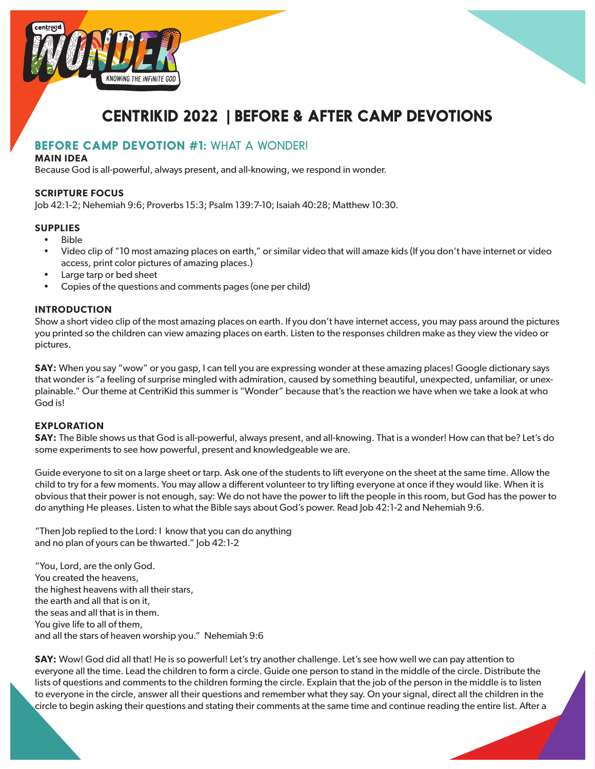



# **CENTRIKID 2022 | BEFORE & AFTER CAMP DEVOTIONS**

# **BEFORE CAMP DEVOTION #1:** WHAT A WONDER!

#### **MAIN IDEA**

Because God is all-powerful, always present, and all-knowing, we respond in wonder.

#### **SCRIPTURE FOCUS**

Job 42:1-2; Nehemiah 9:6; Proverbs 15:3; Psalm 139:7-10; Isaiah 40:28; Matthew 10:30.

### **SUPPLIES**

- Bible
- Video clip of "10 most amazing places on earth," or similar video that will amaze kids (If you don't have internet or video access, print color pictures of amazing places.)
- Large tarp or bed sheet
- Copies of the questions and comments pages (one per child)

#### **INTRODUCTION**

Show a short video clip of the most amazing places on earth. If you don't have internet access, you may pass around the pictures you printed so the children can view amazing places on earth. Listen to the responses children make as they view the video or pictures.

**SAY:** When you say "wow" or you gasp, I can tell you are expressing wonder at these amazing places! Google dictionary says that wonder is "a feeling of surprise mingled with admiration, caused by something beautiful, unexpected, unfamiliar, or unexplainable." Our theme at CentriKid this summer is "Wonder" because that's the reaction we have when we take a look at who God is!

#### **EXPLORATION**

**SAY:** The Bible shows us that God is all-powerful, always present, and all-knowing. That is a wonder! How can that be? Let's do some experiments to see how powerful, present and knowledgeable we are.

Guide everyone to sit on a large sheet or tarp. Ask one of the students to lift everyone on the sheet at the same time. Allow the child to try for a few moments. You may allow a different volunteer to try lifting everyone at once if they would like. When it is obvious that their power is not enough, say: We do not have the power to lift the people in this room, but God has the power to do anything He pleases. Listen to what the Bible says about God's power. Read Job 42:1-2 and Nehemiah 9:6.

"Then Job replied to the Lord: I know that you can do anything and no plan of yours can be thwarted." Job 42:1-2

"You, Lord, are the only God. You created the heavens, the highest heavens with all their stars, the earth and all that is on it, the seas and all that is in them. You give life to all of them, and all the stars of heaven worship you." Nehemiah 9:6

**SAY:** Wow! God did all that! He is so powerful! Let's try another challenge. Let's see how well we can pay attention to everyone all the time. Lead the children to form a circle. Guide one person to stand in the middle of the circle. Distribute the lists of questions and comments to the children forming the circle. Explain that the job of the person in the middle is to listen to everyone in the circle, answer all their questions and remember what they say. On your signal, direct all the children in the circle to begin asking their questions and stating their comments at the same time and continue reading the entire list. After a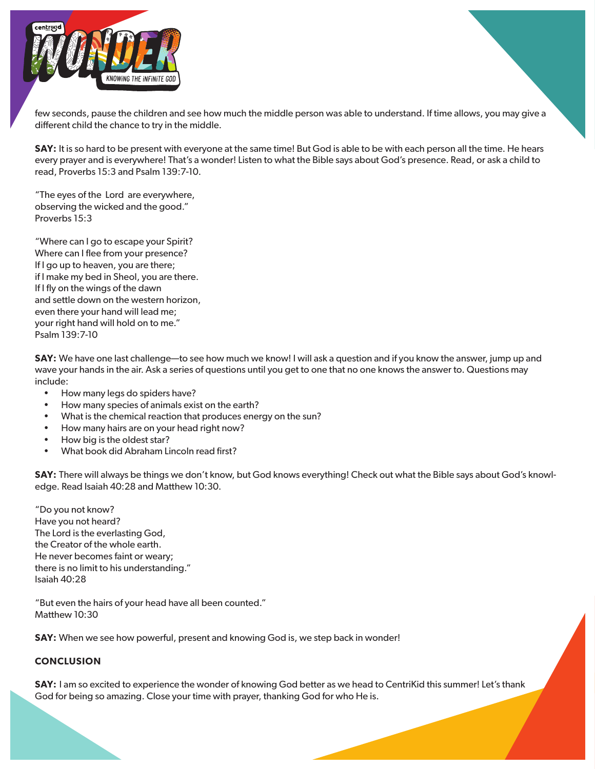

few seconds, pause the children and see how much the middle person was able to understand. If time allows, you may give a different child the chance to try in the middle.

**SAY:** It is so hard to be present with everyone at the same time! But God is able to be with each person all the time. He hears every prayer and is everywhere! That's a wonder! Listen to what the Bible says about God's presence. Read, or ask a child to read, Proverbs 15:3 and Psalm 139:7-10.

"The eyes of the Lord are everywhere, observing the wicked and the good." Proverbs 15:3

"Where can I go to escape your Spirit? Where can I flee from your presence? If I go up to heaven, you are there; if I make my bed in Sheol, you are there. If I fly on the wings of the dawn and settle down on the western horizon, even there your hand will lead me; your right hand will hold on to me." Psalm 139:7-10

**SAY:** We have one last challenge—to see how much we know! I will ask a question and if you know the answer, jump up and wave your hands in the air. Ask a series of questions until you get to one that no one knows the answer to. Questions may include:

- How many legs do spiders have?
- How many species of animals exist on the earth?
- What is the chemical reaction that produces energy on the sun?
- How many hairs are on your head right now?
- How big is the oldest star?
- What book did Abraham Lincoln read first?

**SAY:** There will always be things we don't know, but God knows everything! Check out what the Bible says about God's knowledge. Read Isaiah 40:28 and Matthew 10:30.

"Do you not know? Have you not heard? The Lord is the everlasting God, the Creator of the whole earth. He never becomes faint or weary; there is no limit to his understanding." Isaiah 40:28

"But even the hairs of your head have all been counted." Matthew 10:30

**SAY:** When we see how powerful, present and knowing God is, we step back in wonder!

#### **CONCLUSION**

**SAY:** I am so excited to experience the wonder of knowing God better as we head to CentriKid this summer! Let's thank God for being so amazing. Close your time with prayer, thanking God for who He is.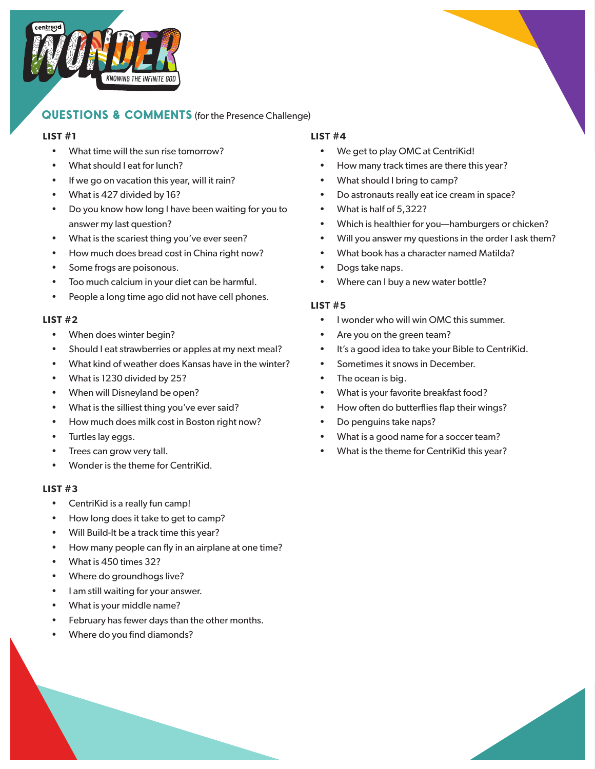

# **QUESTIONS & COMMENTS** (for the Presence Challenge)

#### **LIST #1**

- What time will the sun rise tomorrow?
- What should I eat for lunch?
- If we go on vacation this year, will it rain?
- What is 427 divided by 16?
- Do you know how long I have been waiting for you to answer my last question?
- What is the scariest thing you've ever seen?
- How much does bread cost in China right now?
- Some frogs are poisonous.
- Too much calcium in your diet can be harmful.
- People a long time ago did not have cell phones.

### **LIST #2**

- When does winter begin?
- Should I eat strawberries or apples at my next meal?
- What kind of weather does Kansas have in the winter?
- What is 1230 divided by 25?
- When will Disneyland be open?
- What is the silliest thing you've ever said?
- How much does milk cost in Boston right now?
- Turtles lay eggs.
- Trees can grow very tall.
- Wonder is the theme for CentriKid.

### **LIST #3**

- CentriKid is a really fun camp!
- How long does it take to get to camp?
- Will Build-It be a track time this year?
- How many people can fly in an airplane at one time?
- What is 450 times 32?
- Where do groundhogs live?
- I am still waiting for your answer.
- What is your middle name?
- February has fewer days than the other months.
- Where do you find diamonds?

## **LIST #4**

- We get to play OMC at CentriKid!
- How many track times are there this year?
- What should I bring to camp?
- Do astronauts really eat ice cream in space?
- What is half of 5,322?
- Which is healthier for you-hamburgers or chicken?
- Will you answer my questions in the order I ask them?
- What book has a character named Matilda?
- Dogs take naps.
- Where can I buy a new water bottle?

### **LIST #5**

- I wonder who will win OMC this summer.
- Are you on the green team?
- It's a good idea to take your Bible to CentriKid.
- Sometimes it snows in December.
- The ocean is big.
- What is your favorite breakfast food?
- How often do butterflies flap their wings?
- Do penguins take naps?
- What is a good name for a soccer team?
- What is the theme for CentriKid this year?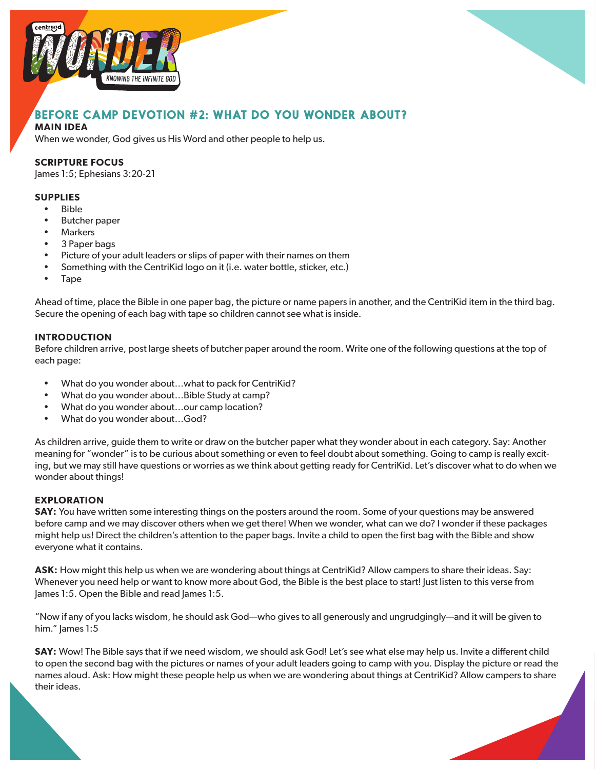



# **BEFORE CAMP DEVOTION #2: WHAT DO YOU WONDER ABOUT?**

#### **MAIN IDEA**

When we wonder, God gives us His Word and other people to help us.

#### **SCRIPTURE FOCUS**

James 1:5; Ephesians 3:20-21

#### **SUPPLIES**

- Bible
- Butcher paper
- Markers
- 3 Paper bags
- Picture of your adult leaders or slips of paper with their names on them
- Something with the CentriKid logo on it (i.e. water bottle, sticker, etc.)
- Tape

Ahead of time, place the Bible in one paper bag, the picture or name papers in another, and the CentriKid item in the third bag. Secure the opening of each bag with tape so children cannot see what is inside.

#### **INTRODUCTION**

Before children arrive, post large sheets of butcher paper around the room. Write one of the following questions at the top of each page:

- What do you wonder about...what to pack for CentriKid?
- What do you wonder about…Bible Study at camp?
- What do you wonder about...our camp location?
- What do you wonder about…God?

As children arrive, guide them to write or draw on the butcher paper what they wonder about in each category. Say: Another meaning for "wonder" is to be curious about something or even to feel doubt about something. Going to camp is really exciting, but we may still have questions or worries as we think about getting ready for CentriKid. Let's discover what to do when we wonder about things!

#### **EXPLORATION**

**SAY:** You have written some interesting things on the posters around the room. Some of your questions may be answered before camp and we may discover others when we get there! When we wonder, what can we do? I wonder if these packages might help us! Direct the children's attention to the paper bags. Invite a child to open the first bag with the Bible and show everyone what it contains.

**ASK:** How might this help us when we are wondering about things at CentriKid? Allow campers to share their ideas. Say: Whenever you need help or want to know more about God, the Bible is the best place to start! Just listen to this verse from James 1:5. Open the Bible and read James 1:5.

"Now if any of you lacks wisdom, he should ask God—who gives to all generously and ungrudgingly—and it will be given to him." James 1:5

**SAY:** Wow! The Bible says that if we need wisdom, we should ask God! Let's see what else may help us. Invite a different child to open the second bag with the pictures or names of your adult leaders going to camp with you. Display the picture or read the names aloud. Ask: How might these people help us when we are wondering about things at CentriKid? Allow campers to share their ideas.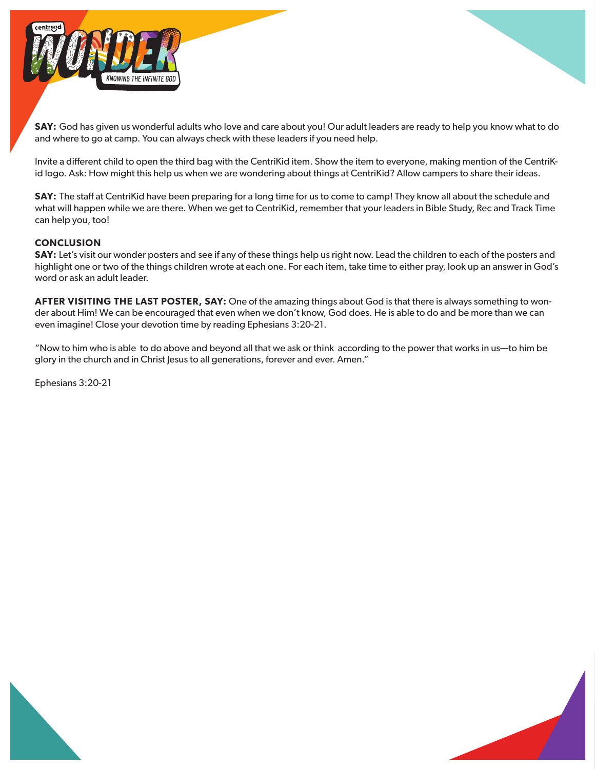

**SAY:** God has given us wonderful adults who love and care about you! Our adult leaders are ready to help you know what to do and where to go at camp. You can always check with these leaders if you need help.

Invite a different child to open the third bag with the CentriKid item. Show the item to everyone, making mention of the CentriKid logo. Ask: How might this help us when we are wondering about things at CentriKid? Allow campers to share their ideas.

**SAY:** The staff at CentriKid have been preparing for a long time for us to come to camp! They know all about the schedule and what will happen while we are there. When we get to CentriKid, remember that your leaders in Bible Study, Rec and Track Time can help you, too!

#### **CONCLUSION**

**SAY:** Let's visit our wonder posters and see if any of these things help us right now. Lead the children to each of the posters and highlight one or two of the things children wrote at each one. For each item, take time to either pray, look up an answer in God's word or ask an adult leader.

**AFTER VISITING THE LAST POSTER, SAY:** One of the amazing things about God is that there is always something to wonder about Him! We can be encouraged that even when we don't know, God does. He is able to do and be more than we can even imagine! Close your devotion time by reading Ephesians 3:20-21.

"Now to him who is able to do above and beyond all that we ask or think according to the power that works in us—to him be glory in the church and in Christ Jesus to all generations, forever and ever. Amen."

Ephesians 3:20-21

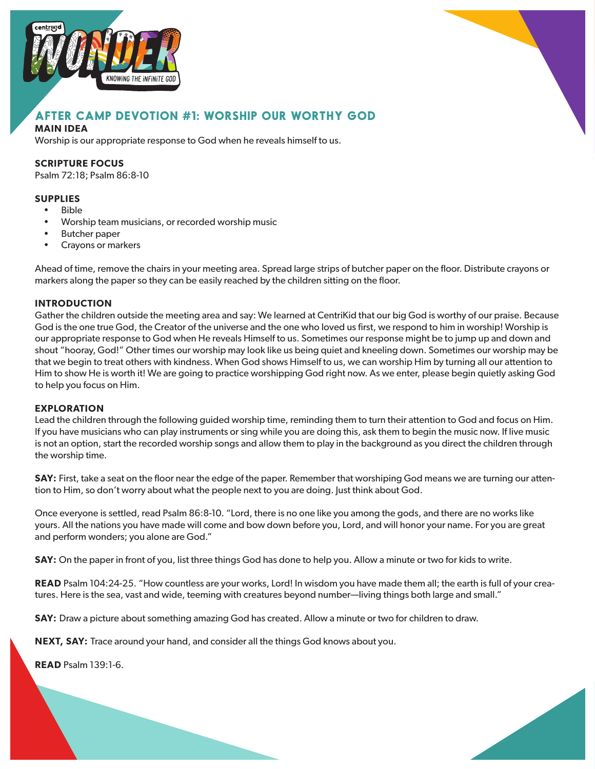



# **AFTER CAMP DEVOTION #1: WORSHIP OUR WORTHY GOD**

### **MAIN IDEA**

Worship is our appropriate response to God when he reveals himself to us.

#### **SCRIPTURE FOCUS**

Psalm 72:18; Psalm 86:8-10

### **SUPPLIES**

- Bible
- Worship team musicians, or recorded worship music
- Butcher paper
- Crayons or markers

Ahead of time, remove the chairs in your meeting area. Spread large strips of butcher paper on the floor. Distribute crayons or markers along the paper so they can be easily reached by the children sitting on the floor.

#### **INTRODUCTION**

Gather the children outside the meeting area and say: We learned at CentriKid that our big God is worthy of our praise. Because God is the one true God, the Creator of the universe and the one who loved us first, we respond to him in worship! Worship is our appropriate response to God when He reveals Himself to us. Sometimes our response might be to jump up and down and shout "hooray, God!" Other times our worship may look like us being quiet and kneeling down. Sometimes our worship may be that we begin to treat others with kindness. When God shows Himself to us, we can worship Him by turning all our attention to Him to show He is worth it! We are going to practice worshipping God right now. As we enter, please begin quietly asking God to help you focus on Him.

#### **EXPLORATION**

Lead the children through the following guided worship time, reminding them to turn their attention to God and focus on Him. If you have musicians who can play instruments or sing while you are doing this, ask them to begin the music now. If live music is not an option, start the recorded worship songs and allow them to play in the background as you direct the children through the worship time.

**SAY:** First, take a seat on the floor near the edge of the paper. Remember that worshiping God means we are turning our attention to Him, so don't worry about what the people next to you are doing. Just think about God.

Once everyone is settled, read Psalm 86:8-10. "Lord, there is no one like you among the gods, and there are no works like yours. All the nations you have made will come and bow down before you, Lord, and will honor your name. For you are great and perform wonders; you alone are God."

**SAY:** On the paper in front of you, list three things God has done to help you. Allow a minute or two for kids to write.

**READ** Psalm 104:24-25. "How countless are your works, Lord! In wisdom you have made them all; the earth is full of your creatures. Here is the sea, vast and wide, teeming with creatures beyond number—living things both large and small."

**SAY:** Draw a picture about something amazing God has created. Allow a minute or two for children to draw.

**NEXT, SAY:** Trace around your hand, and consider all the things God knows about you.

**READ** Psalm 139:1-6.

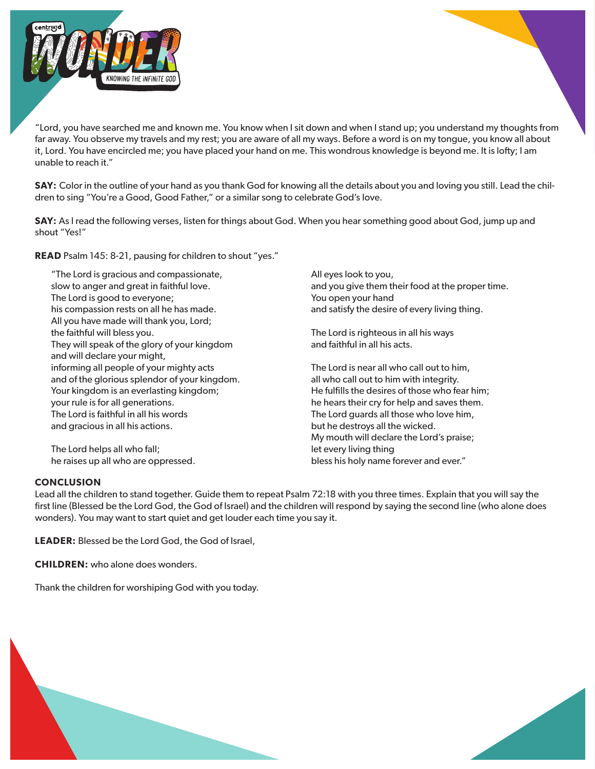

"Lord, you have searched me and known me. You know when I sit down and when I stand up; you understand my thoughts from far away. You observe my travels and my rest; you are aware of all my ways. Before a word is on my tongue, you know all about it, Lord. You have encircled me; you have placed your hand on me. This wondrous knowledge is beyond me. It is lofty; I am unable to reach it."

**SAY:** Color in the outline of your hand as you thank God for knowing all the details about you and loving you still. Lead the children to sing "You're a Good, Good Father," or a similar song to celebrate God's love.

**SAY:** As I read the following verses, listen for things about God. When you hear something good about God, jump up and shout "Yes!"

**READ** Psalm 145: 8-21, pausing for children to shout "yes."

"The Lord is gracious and compassionate, slow to anger and great in faithful love. The Lord is good to everyone; his compassion rests on all he has made. All you have made will thank you, Lord; the faithful will bless you. They will speak of the glory of your kingdom and will declare your might, informing all people of your mighty acts and of the glorious splendor of your kingdom. Your kingdom is an everlasting kingdom; your rule is for all generations. The Lord is faithful in all his words and gracious in all his actions.

The Lord helps all who fall; he raises up all who are oppressed. All eyes look to you, and you give them their food at the proper time. You open your hand and satisfy the desire of every living thing.

The Lord is righteous in all his ways and faithful in all his acts.

The Lord is near all who call out to him, all who call out to him with integrity. He fulfills the desires of those who fear him; he hears their cry for help and saves them. The Lord guards all those who love him, but he destroys all the wicked. My mouth will declare the Lord's praise; let every living thing bless his holy name forever and ever."

#### **CONCLUSION**

Lead all the children to stand together. Guide them to repeat Psalm 72:18 with you three times. Explain that you will say the first line (Blessed be the Lord God, the God of Israel) and the children will respond by saying the second line (who alone does wonders). You may want to start quiet and get louder each time you say it.

**LEADER:** Blessed be the Lord God, the God of Israel,

**CHILDREN:** who alone does wonders.

Thank the children for worshiping God with you today.